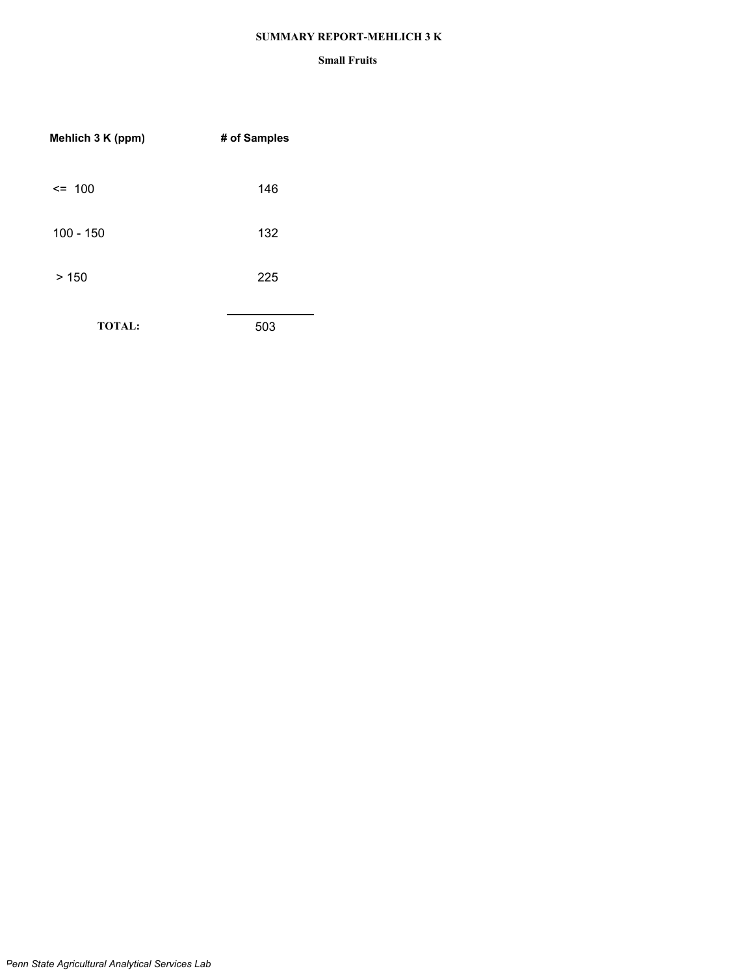#### **SUMMARY REPORT-MEHLICH 3 K**

| Mehlich 3 K (ppm) | # of Samples |
|-------------------|--------------|
| $\leq$ 100        | 146          |
| $100 - 150$       | 132          |
| >150              | 225          |
| <b>TOTAL:</b>     | 503          |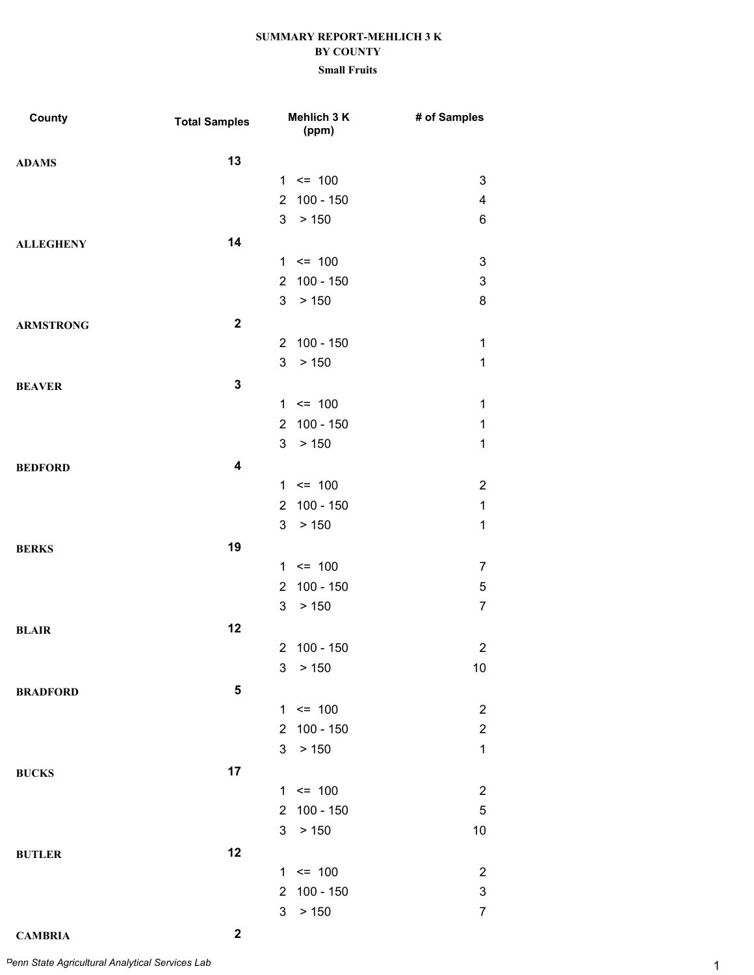#### **Small Fruits**

| County           | <b>Total Samples</b>    |                | Mehlich 3 K<br>(ppm) | # of Samples            |
|------------------|-------------------------|----------------|----------------------|-------------------------|
| <b>ADAMS</b>     | 13                      |                |                      |                         |
|                  |                         |                | $1 \le 100$          | 3                       |
|                  |                         | $\overline{2}$ | $100 - 150$          | $\overline{\mathbf{4}}$ |
|                  |                         | 3              | > 150                | 6                       |
| <b>ALLEGHENY</b> | 14                      |                |                      |                         |
|                  |                         |                | $1 \le 100$          | 3                       |
|                  |                         | $\overline{2}$ | $100 - 150$          | 3                       |
|                  |                         | 3              | > 150                | 8                       |
| <b>ARMSTRONG</b> | $\mathbf{2}$            |                |                      |                         |
|                  |                         | $\overline{2}$ | 100 - 150            | $\mathbf 1$             |
|                  |                         | 3              | > 150                | $\mathbf 1$             |
| <b>BEAVER</b>    | $\mathbf{3}$            |                |                      |                         |
|                  |                         |                | $1 \le 100$          | $\mathbf 1$             |
|                  |                         | $\overline{2}$ | $100 - 150$          | $\mathbf 1$             |
|                  |                         | 3              | > 150                | $\mathbf 1$             |
| <b>BEDFORD</b>   | $\overline{\mathbf{4}}$ |                |                      |                         |
|                  |                         |                | $1 \le 100$          | $\overline{2}$          |
|                  |                         | $\mathbf{2}$   | $100 - 150$          | $\mathbf 1$             |
|                  |                         | 3              | > 150                | $\mathbf 1$             |
| <b>BERKS</b>     | 19                      |                |                      |                         |
|                  |                         |                | $1 \le 100$          | $\overline{7}$          |
|                  |                         | $\overline{2}$ | $100 - 150$          | 5                       |
|                  |                         | 3              | > 150                | $\overline{7}$          |
| <b>BLAIR</b>     | 12                      |                |                      |                         |
|                  |                         | $\overline{2}$ | $100 - 150$          | $\overline{2}$          |
|                  |                         |                | 3 > 150              | 10                      |
| <b>BRADFORD</b>  | 5                       |                |                      |                         |
|                  |                         |                | $1 \le 100$          | $\overline{c}$          |
|                  |                         | $\overline{2}$ | $100 - 150$          | $\overline{c}$          |
|                  |                         | 3              | > 150                | $\mathbf 1$             |
| <b>BUCKS</b>     | 17                      |                |                      |                         |
|                  |                         | $\mathbf{1}$   | $\leq$ 100           | $\overline{c}$          |
|                  |                         | $\overline{2}$ | $100 - 150$          | $\mathbf 5$             |
|                  |                         | 3              | > 150                | 10                      |
| <b>BUTLER</b>    | 12                      |                |                      |                         |
|                  |                         | $\mathbf{1}$   | $\leq$ 100           | $\overline{2}$          |
|                  |                         | 2              | $100 - 150$          | 3                       |
|                  |                         | 3              | > 150                | $\boldsymbol{7}$        |

**CAMBRIA 2**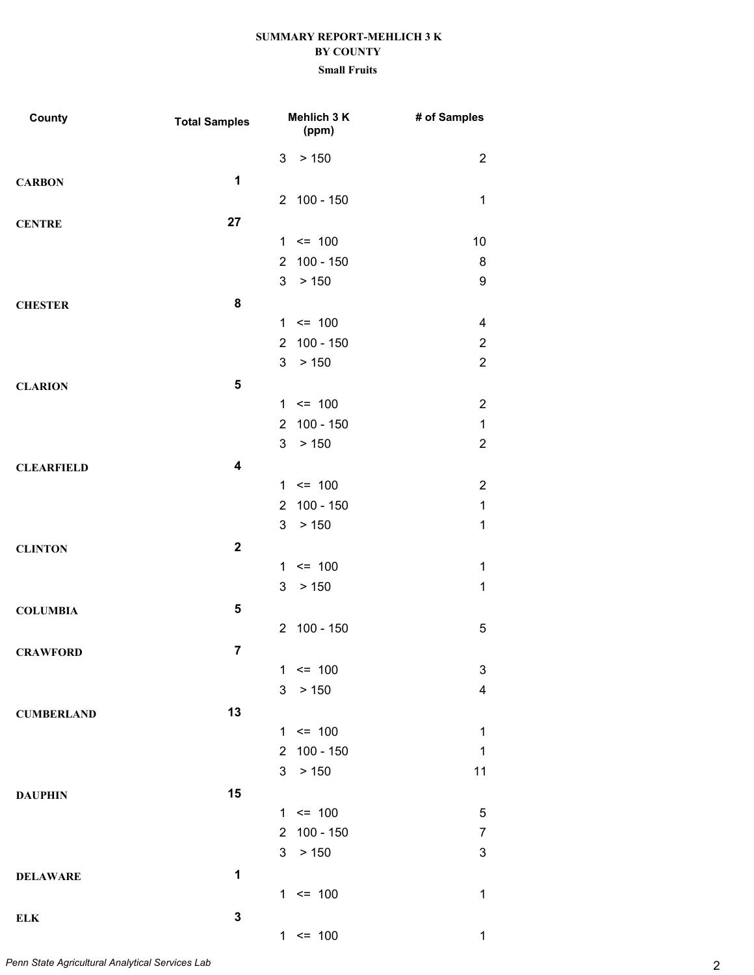| County            | <b>Total Samples</b>    |                | Mehlich 3 K<br>(ppm) | # of Samples              |
|-------------------|-------------------------|----------------|----------------------|---------------------------|
|                   |                         | 3              | > 150                | $\overline{2}$            |
| <b>CARBON</b>     | 1                       |                |                      |                           |
|                   |                         |                | 2 100 - 150          | $\mathbf 1$               |
| <b>CENTRE</b>     | 27                      |                |                      |                           |
|                   |                         |                | $1 \le 100$          | 10                        |
|                   |                         | $\overline{2}$ | $100 - 150$          | 8                         |
|                   |                         | 3              | > 150                | $\boldsymbol{9}$          |
| <b>CHESTER</b>    | 8                       |                |                      |                           |
|                   |                         |                | $1 \le 100$          | 4                         |
|                   |                         | $\overline{2}$ | $100 - 150$          | $\overline{2}$            |
|                   |                         | 3              | > 150                | $\overline{2}$            |
| <b>CLARION</b>    | 5                       |                |                      |                           |
|                   |                         |                | $1 \le 100$          | $\overline{2}$            |
|                   |                         | $\overline{2}$ | $100 - 150$          | $\mathbf 1$               |
|                   |                         | 3              | > 150                | $\overline{2}$            |
| <b>CLEARFIELD</b> | $\overline{\mathbf{4}}$ |                |                      |                           |
|                   |                         |                | $1 \le 100$          | $\overline{2}$            |
|                   |                         | $\overline{2}$ | $100 - 150$          | $\mathbf 1$               |
|                   |                         | 3              | > 150                | $\mathbf 1$               |
| <b>CLINTON</b>    | $\mathbf{2}$            |                |                      |                           |
|                   |                         |                | $1 \le 100$          | $\mathbf 1$               |
|                   |                         | 3              | > 150                | $\mathbf 1$               |
| <b>COLUMBIA</b>   | 5                       |                |                      |                           |
|                   |                         | $\overline{2}$ | 100 - 150            | $\overline{5}$            |
| <b>CRAWFORD</b>   | $\overline{7}$          |                |                      |                           |
|                   |                         | 1              | $= 100$              | $\ensuremath{\mathsf{3}}$ |
|                   |                         | 3              | > 150                | $\overline{\mathbf{4}}$   |
| <b>CUMBERLAND</b> | 13                      |                |                      |                           |
|                   |                         | $\mathbf{1}$   | $\leq$ 100           | $\mathbf 1$               |
|                   |                         |                | 2 100 - 150          | $\mathbf 1$               |
|                   |                         | 3              | > 150                | 11                        |
| <b>DAUPHIN</b>    | 15                      |                |                      |                           |
|                   |                         |                | $1 \le 100$          | $\mathbf 5$               |
|                   |                         | $\overline{2}$ | $100 - 150$          | $\overline{7}$            |
|                   |                         | 3 <sup>1</sup> | > 150                | 3                         |
| <b>DELAWARE</b>   | 1                       |                |                      |                           |
|                   |                         |                | $1 \le 100$          | $\mathbf 1$               |
| <b>ELK</b>        | $\mathbf 3$             |                |                      |                           |
|                   |                         |                | $1 \le 100$          | $\mathbf 1$               |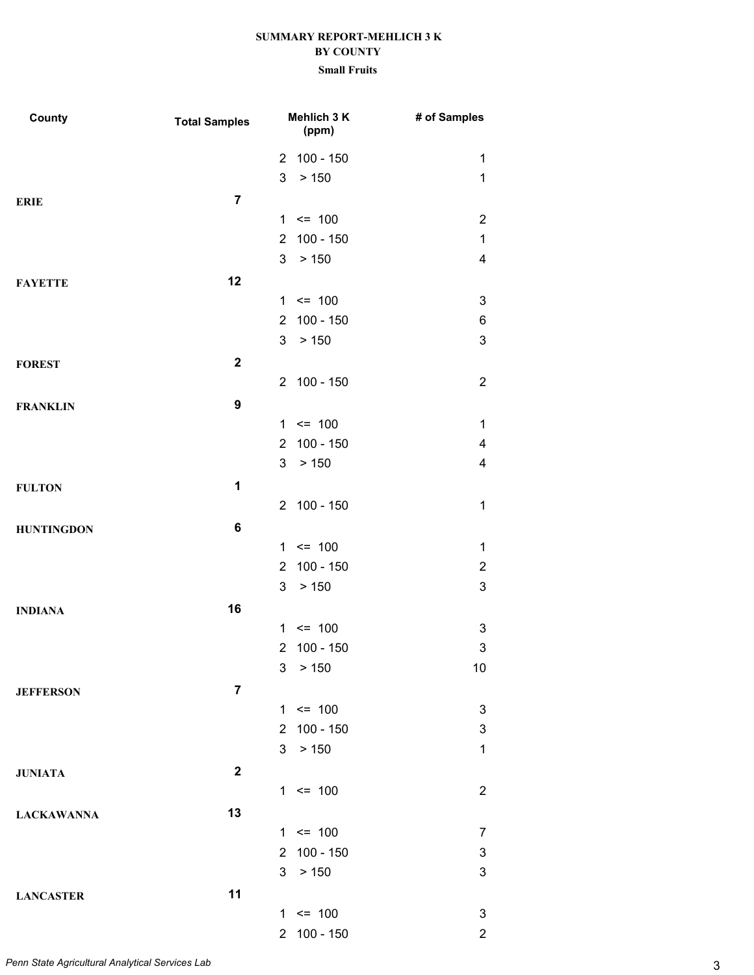| County            | <b>Total Samples</b> |                | Mehlich 3 K<br>(ppm) | # of Samples              |
|-------------------|----------------------|----------------|----------------------|---------------------------|
|                   |                      |                | 2 100 - 150          | 1                         |
|                   |                      | 3              | > 150                | $\mathbf 1$               |
| <b>ERIE</b>       | $\overline{7}$       |                |                      |                           |
|                   |                      |                | $1 \le 100$          | $\overline{2}$            |
|                   |                      | $\overline{2}$ | $100 - 150$          | 1                         |
|                   |                      | $\mathbf{3}$   | > 150                | $\overline{4}$            |
| <b>FAYETTE</b>    | 12                   |                |                      |                           |
|                   |                      |                | $1 \le 100$          | $\ensuremath{\mathsf{3}}$ |
|                   |                      | $\overline{2}$ | $100 - 150$          | 6                         |
|                   |                      | 3 <sup>1</sup> | > 150                | $\ensuremath{\mathsf{3}}$ |
| <b>FOREST</b>     | $\mathbf{2}$         |                |                      |                           |
|                   |                      |                | 2 100 - 150          | $\overline{2}$            |
| <b>FRANKLIN</b>   | $\boldsymbol{9}$     |                |                      |                           |
|                   |                      |                | $1 \le 100$          | 1                         |
|                   |                      | $\overline{2}$ | $100 - 150$          | 4                         |
|                   |                      | 3              | > 150                | 4                         |
| <b>FULTON</b>     | 1                    |                |                      |                           |
|                   |                      |                | 2 100 - 150          | $\mathbf 1$               |
| <b>HUNTINGDON</b> | 6                    |                |                      |                           |
|                   |                      |                | $1 \le 100$          | $\mathbf 1$               |
|                   |                      | $\overline{2}$ | $100 - 150$          | $\overline{2}$            |
|                   |                      | 3              | > 150                | 3                         |
| <b>INDIANA</b>    | 16                   |                |                      |                           |
|                   |                      |                | $1 \le 100$          | 3                         |
|                   |                      | $\overline{2}$ | 100 - 150            | 3                         |
|                   |                      |                | 3 > 150              | 10                        |
| <b>JEFFERSON</b>  | $\overline{7}$       |                |                      |                           |
|                   |                      |                | $1 \le 100$          | 3                         |
|                   |                      |                | 2 100 - 150          | 3                         |
|                   |                      | 3 <sup>1</sup> | > 150                | $\mathbf{1}$              |
| <b>JUNIATA</b>    | $\boldsymbol{2}$     |                |                      |                           |
|                   |                      |                | $1 \le 100$          | $\overline{2}$            |
|                   | 13                   |                |                      |                           |
| <b>LACKAWANNA</b> |                      |                | $1 \le 100$          | $\overline{7}$            |
|                   |                      |                | 2 100 - 150          | $\ensuremath{\mathsf{3}}$ |
|                   |                      | 3 <sup>1</sup> | > 150                | $\ensuremath{\mathsf{3}}$ |
|                   | 11                   |                |                      |                           |
| <b>LANCASTER</b>  |                      |                | $1 \le 100$          | $\ensuremath{\mathsf{3}}$ |
|                   |                      |                | 2 100 - 150          | $\overline{2}$            |
|                   |                      |                |                      |                           |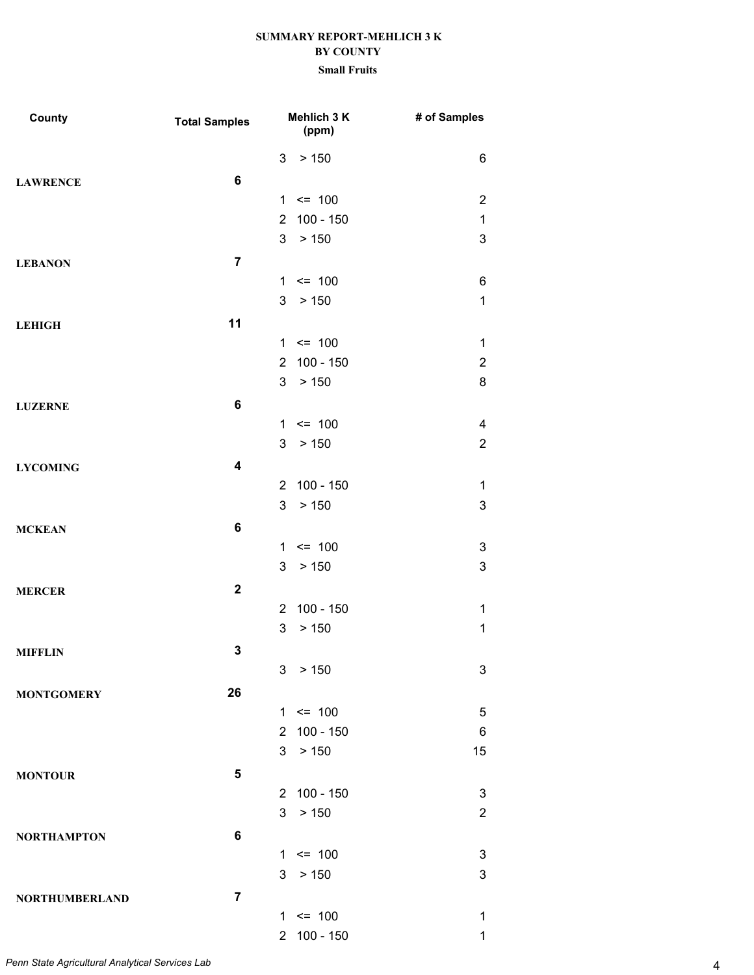| County                | <b>Total Samples</b>    |                | Mehlich 3 K<br>(ppm) | # of Samples              |
|-----------------------|-------------------------|----------------|----------------------|---------------------------|
|                       |                         | 3              | > 150                | 6                         |
| <b>LAWRENCE</b>       | $\bf 6$                 |                |                      |                           |
|                       |                         |                | $1 \le 100$          | $\overline{2}$            |
|                       |                         | $\overline{2}$ | $100 - 150$          | $\mathbf 1$               |
|                       |                         | 3              | > 150                | 3                         |
| <b>LEBANON</b>        | $\overline{7}$          |                |                      |                           |
|                       |                         | $\mathbf{1}$   | $\leq$ 100           | 6                         |
|                       |                         | 3              | > 150                | $\mathbf 1$               |
| <b>LEHIGH</b>         | 11                      |                |                      |                           |
|                       |                         |                | $1 \le 100$          | 1                         |
|                       |                         | $\overline{2}$ | $100 - 150$          | $\overline{2}$            |
|                       |                         | 3              | > 150                | 8                         |
| <b>LUZERNE</b>        | $\bf 6$                 |                |                      |                           |
|                       |                         |                | $1 \le 100$          | 4                         |
|                       |                         | 3              | > 150                | $\overline{2}$            |
| <b>LYCOMING</b>       | $\overline{\mathbf{4}}$ |                |                      |                           |
|                       |                         | $\overline{2}$ | $100 - 150$          | $\mathbf 1$               |
|                       |                         | 3              | > 150                | $\ensuremath{\mathsf{3}}$ |
| <b>MCKEAN</b>         | 6                       |                |                      |                           |
|                       |                         | 1              | $\leq$ 100           | 3                         |
|                       |                         | 3              | > 150                | $\ensuremath{\mathsf{3}}$ |
| <b>MERCER</b>         | $\mathbf{2}$            |                |                      |                           |
|                       |                         | $\overline{2}$ | $100 - 150$          | 1                         |
|                       |                         | 3              | > 150                | $\mathbf 1$               |
| <b>MIFFLIN</b>        | $\mathbf 3$             |                |                      |                           |
|                       |                         | 3              | $>150$               | 3                         |
| <b>MONTGOMERY</b>     | 26                      |                |                      |                           |
|                       |                         |                | $1 \le 100$          | 5                         |
|                       |                         |                | 2 100 - 150          | 6                         |
|                       |                         | 3 <sup>1</sup> | > 150                | 15                        |
| <b>MONTOUR</b>        | $5\phantom{1}$          |                |                      |                           |
|                       |                         |                | 2 100 - 150          | $\sqrt{3}$                |
|                       |                         | 3              | > 150                | $\overline{2}$            |
| <b>NORTHAMPTON</b>    | 6                       |                |                      |                           |
|                       |                         |                | $1 \le 100$          | 3                         |
|                       |                         | 3              | > 150                | 3                         |
| <b>NORTHUMBERLAND</b> | $\overline{7}$          |                |                      |                           |
|                       |                         |                | $1 \le 100$          | 1                         |
|                       |                         | $\overline{2}$ | 100 - 150            | 1                         |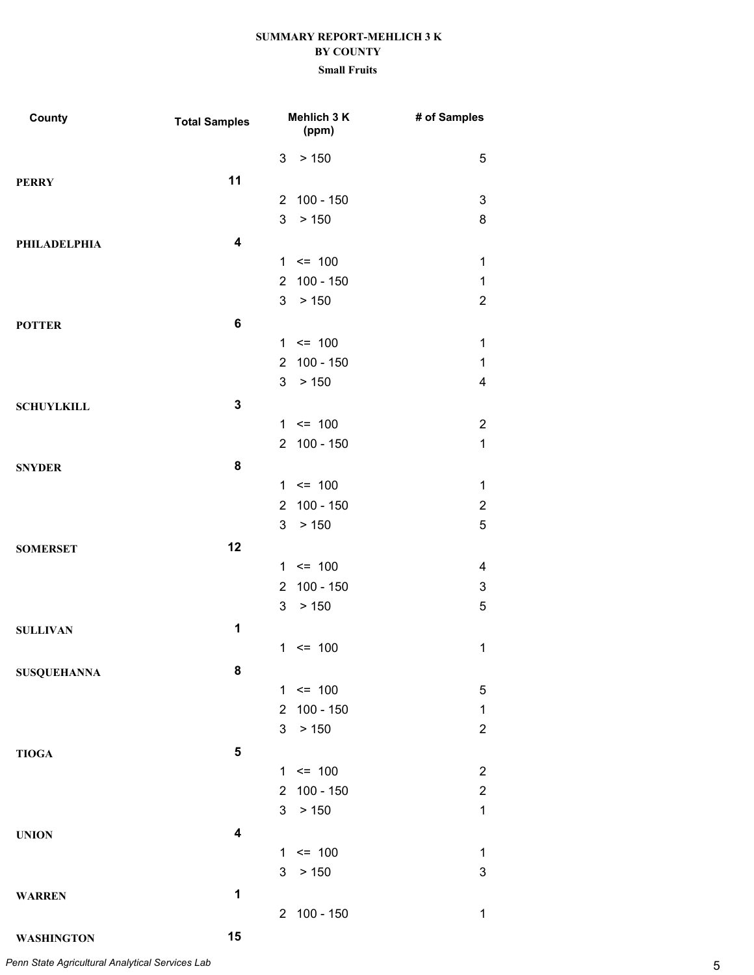#### **Small Fruits**

| County              | <b>Total Samples</b>    |                | Mehlich 3 K<br>(ppm) | # of Samples   |
|---------------------|-------------------------|----------------|----------------------|----------------|
|                     |                         | 3              | > 150                | 5              |
| <b>PERRY</b>        | 11                      |                |                      |                |
|                     |                         | 2              | $100 - 150$          | 3              |
|                     |                         | 3              | > 150                | 8              |
| <b>PHILADELPHIA</b> | $\overline{\mathbf{4}}$ |                |                      |                |
|                     |                         |                | $1 \le 100$          | $\mathbf 1$    |
|                     |                         | 2              | $100 - 150$          | $\mathbf 1$    |
|                     |                         | 3              | > 150                | $\overline{2}$ |
| <b>POTTER</b>       | $\bf 6$                 |                |                      |                |
|                     |                         |                | $1 \le 100$          | 1              |
|                     |                         | $\overline{2}$ | $100 - 150$          | $\mathbf 1$    |
|                     |                         | 3              | > 150                | 4              |
| <b>SCHUYLKILL</b>   | $\mathbf{3}$            |                |                      |                |
|                     |                         |                | $1 \le 100$          | $\overline{2}$ |
|                     |                         |                | 2 100 - 150          | $\mathbf 1$    |
| <b>SNYDER</b>       | 8                       |                |                      |                |
|                     |                         |                | $1 \le 100$          | 1              |
|                     |                         | $\overline{2}$ | $100 - 150$          | $\overline{2}$ |
|                     |                         | 3              | > 150                | 5              |
| <b>SOMERSET</b>     | 12                      |                |                      |                |
|                     |                         |                | $1 \le 100$          | 4              |
|                     |                         | $\overline{2}$ | $100 - 150$          | 3              |
|                     |                         | 3              | > 150                | 5              |
| <b>SULLIVAN</b>     | 1                       |                |                      |                |
|                     |                         |                | $1 \le 100$          | 1              |
| <b>SUSQUEHANNA</b>  | 8                       |                |                      |                |
|                     |                         |                | $1 \le 100$          | 5              |
|                     |                         | $\overline{2}$ | $100 - 150$          | $\mathbf 1$    |
|                     |                         | 3              | > 150                | $\overline{2}$ |
| <b>TIOGA</b>        | 5                       |                |                      |                |
|                     |                         |                | $1 \le 100$          | $\overline{2}$ |
|                     |                         |                | 2 100 - 150          | $\overline{2}$ |
|                     |                         | 3 <sup>1</sup> | > 150                | $\mathbf 1$    |
| <b>UNION</b>        | $\overline{\mathbf{4}}$ |                |                      |                |
|                     |                         |                | $1 \le 100$          | 1              |
|                     |                         | 3              | > 150                | 3              |
| <b>WARREN</b>       | 1                       |                |                      |                |
|                     |                         |                | 2 100 - 150          | 1              |
| <b>WASHINGTON</b>   | 15                      |                |                      |                |

5 *Penn State Agricultural Analytical Services Lab*